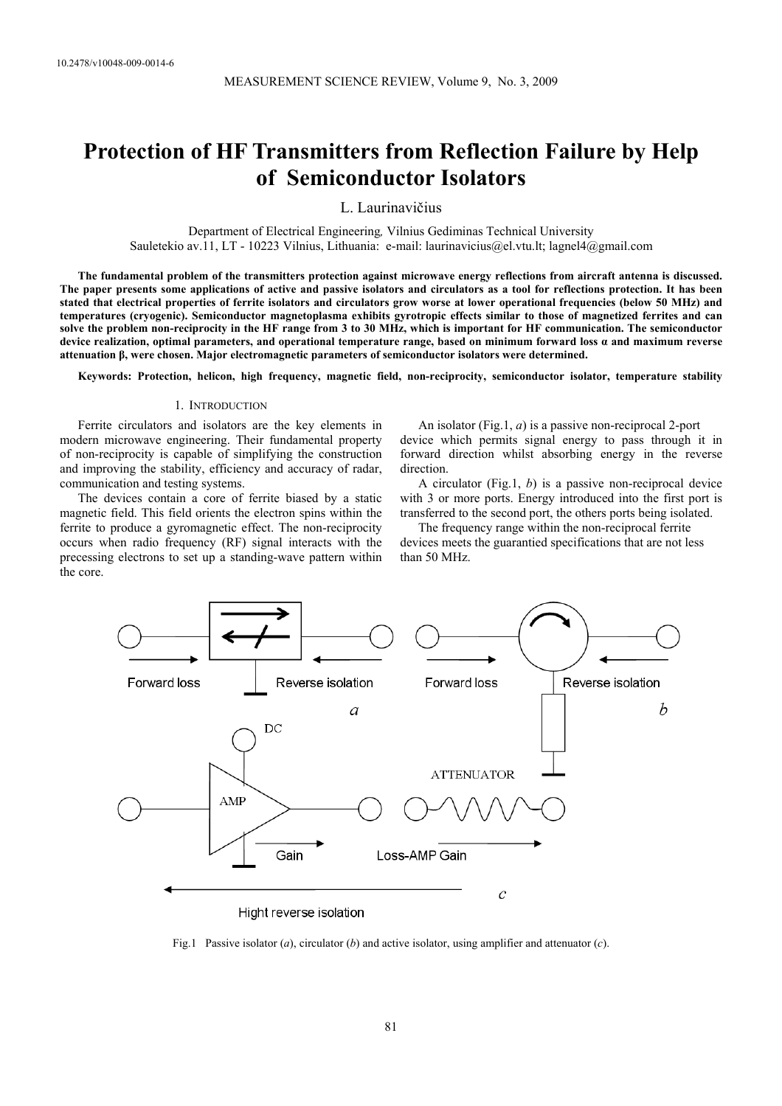# **Protection of HF Transmitters from Reflection Failure by Help of Semiconductor Isolators**

L. Laurinavičius

Department of Electrical Engineering*,* Vilnius Gediminas Technical University Sauletekio av.11, LT - 10223 Vilnius, Lithuania: e-mail: laurinavicius@el.vtu.lt; lagnel4@gmail.com

**The fundamental problem of the transmitters protection against microwave energy reflections from aircraft antenna is discussed. The paper presents some applications of active and passive isolators and circulators as a tool for reflections protection. It has been stated that electrical properties of ferrite isolators and circulators grow worse at lower operational frequencies (below 50 MHz) and temperatures (cryogenic). Semiconductor magnetoplasma exhibits gyrotropic effects similar to those of magnetized ferrites and can solve the problem non-reciprocity in the HF range from 3 to 30 MHz, which is important for HF communication. The semiconductor device realization, optimal parameters, and operational temperature range, based on minimum forward loss α and maximum reverse attenuation β, were chosen. Major electromagnetic parameters of semiconductor isolators were determined.** 

**Keywords: Protection, helicon, high frequency, magnetic field, non-reciprocity, semiconductor isolator, temperature stability**

#### 1. INTRODUCTION

Ferrite circulators and isolators are the key elements in modern microwave engineering. Their fundamental property of non-reciprocity is capable of simplifying the construction and improving the stability, efficiency and accuracy of radar, communication and testing systems.

The devices contain a core of ferrite biased by a static magnetic field. This field orients the electron spins within the ferrite to produce a gyromagnetic effect. The non-reciprocity occurs when radio frequency (RF) signal interacts with the precessing electrons to set up a standing-wave pattern within the core.

An isolator (Fig.1, *a*) is a passive non-reciprocal 2-port

device which permits signal energy to pass through it in forward direction whilst absorbing energy in the reverse direction.

A circulator (Fig.1, *b*) is a passive non-reciprocal device with 3 or more ports. Energy introduced into the first port is transferred to the second port, the others ports being isolated.

The frequency range within the non-reciprocal ferrite devices meets the guarantied specifications that are not less than 50 MHz.



Fig.1 Passive isolator (*a*), circulator (*b*) and active isolator, using amplifier and attenuator (*c*).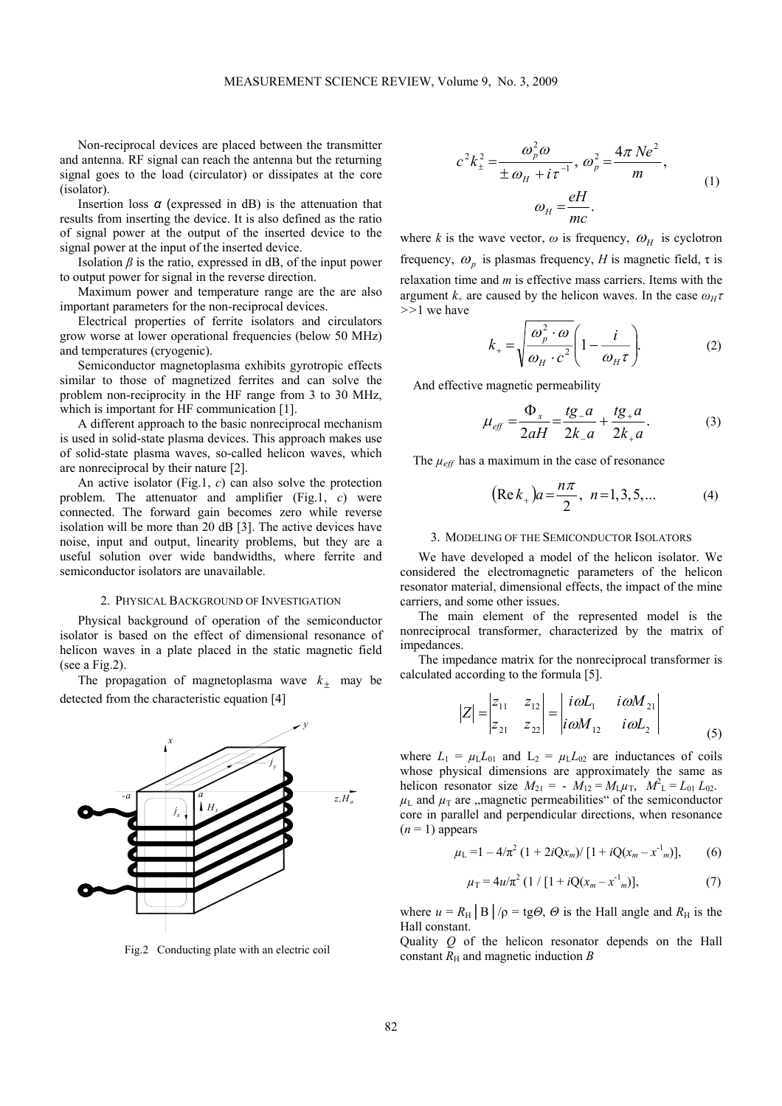Non-reciprocal devices are placed between the transmitter and antenna. RF signal can reach the antenna but the returning signal goes to the load (circulator) or dissipates at the core signar goc<br>(isolator).

Insertion loss *α* (expressed in dB) is the attenuation that results from inserting the device. It is also defined as the ratio of signal power at the output of the inserted device to the signal power at the input of the inserted device.

Isolation  $\beta$  is the ratio, expressed in dB, of the input power to output power for signal in the reverse direction.

Maximum power and temperature range are the are also important parameters for the non-reciprocal devices.

Electrical properties of ferrite isolators and circulators grow worse at lower operational frequencies (below 50 MHz) and temperatures (cryogenic).

Semiconductor magnetoplasma exhibits gyrotropic effects similar to those of magnetized ferrites and can solve the problem non-reciprocity in the HF range from 3 to 30 MHz, which is important for HF communication [1].

A different approach to the basic nonreciprocal mechanism is used in solid-state plasma devices. This approach makes use of solid-state plasma waves, so-called helicon waves, which are nonreciprocal by their nature [2].

An active isolator (Fig.1, *c*) can also solve the protection problem. The attenuator and amplifier (Fig.1, *c*) were connected. The forward gain becomes zero while reverse isolation will be more than 20 dB [3]. The active devices have noise, input and output, linearity problems, but they are a useful solution over wide bandwidths, where ferrite and semiconductor isolators are unavailable.

## 2. PHYSICAL BACKGROUND OF INVESTIGATION

Physical background of operation of the semiconductor isolator is based on the effect of dimensional resonance of helicon waves in a plate placed in the static magnetic field (see a Fig.2).

The propagation of magnetoplasma wave  $k_{\pm}$  may be detected from the characteristic equation [4]



Fig.2 Conducting plate with an electric coil

$$
c^{2}k_{\pm}^{2} = \frac{\omega_{p}^{2}\omega}{\pm\omega_{H} + i\tau^{-1}}, \omega_{p}^{2} = \frac{4\pi Ne^{2}}{m},
$$
  

$$
\omega_{H} = \frac{eH}{mc}.
$$
 (1)

where *k* is the wave vector,  $\omega$  is frequency,  $\omega_H$  is cyclotron frequency,  $\omega_p$  is plasmas frequency, *H* is magnetic field,  $\tau$  is relaxation time and *m* is effective mass carriers. Items with the argument  $k_{+}$  are caused by the helicon waves. In the case  $\omega_{H}\tau$ *>>*1 we have

$$
k_{+} = \sqrt{\frac{\omega_p^2 \cdot \omega}{\omega_H \cdot c^2} \left(1 - \frac{i}{\omega_H \tau}\right)}.
$$
 (2)

And effective magnetic permeability

$$
\mu_{\text{eff}} = \frac{\Phi_x}{2aH} = \frac{tg_a}{2k_a} + \frac{tg_a}{2k_a}.
$$
 (3)

The  $\mu_{\text{eff}}$  has a maximum in the case of resonance

$$
(\text{Re}\,k_{+})a = \frac{n\pi}{2}, \quad n = 1, 3, 5, \dots \tag{4}
$$

#### 3. MODELING OF THE SEMICONDUCTOR ISOLATORS

We have developed a model of the helicon isolator. We considered the electromagnetic parameters of the helicon resonator material, dimensional effects, the impact of the mine carriers, and some other issues.

The main element of the represented model is the nonreciprocal transformer, characterized by the matrix of impedances.

The impedance matrix for the nonreciprocal transformer is calculated according to the formula [5].

$$
|Z| = \begin{vmatrix} z_{11} & z_{12} \\ z_{21} & z_{22} \end{vmatrix} = \begin{vmatrix} i\omega L_1 & i\omega M_{21} \\ i\omega M_{12} & i\omega L_2 \end{vmatrix}
$$
 (5)

where  $L_1 = \mu_L L_{01}$  and  $L_2 = \mu_L L_{02}$  are inductances of coils whose physical dimensions are approximately the same as helicon resonator size  $M_{21} = -\overrightarrow{M}_{12} = M_L \mu_T$ ,  $M_L^2 = L_{01} L_{02}$ .  $\mu$ <sub>L</sub> and  $\mu$ <sub>T</sub> are , magnetic permeabilities<sup>"</sup> of the semiconductor core in parallel and perpendicular directions, when resonance  $(n = 1)$  appears

$$
\mu_{\rm L} = 1 - 4/\pi^2 \left(1 + 2i{\rm Q}x_m\right) / \left[1 + i{\rm Q}(x_m - x^{\rm -1})\right],\qquad(6)
$$

$$
\mu_{\rm T} = 4u/\pi^2 \left(1 / \left[1 + iQ(x_m - x^1_m)\right],\right.\tag{7}
$$

where  $u = R_H \mid B \mid / \rho = \text{tg}\Theta$ ,  $\Theta$  is the Hall angle and  $R_H$  is the Hall constant.

Quality *Q* of the helicon resonator depends on the Hall constant  $R<sub>H</sub>$  and magnetic induction *B*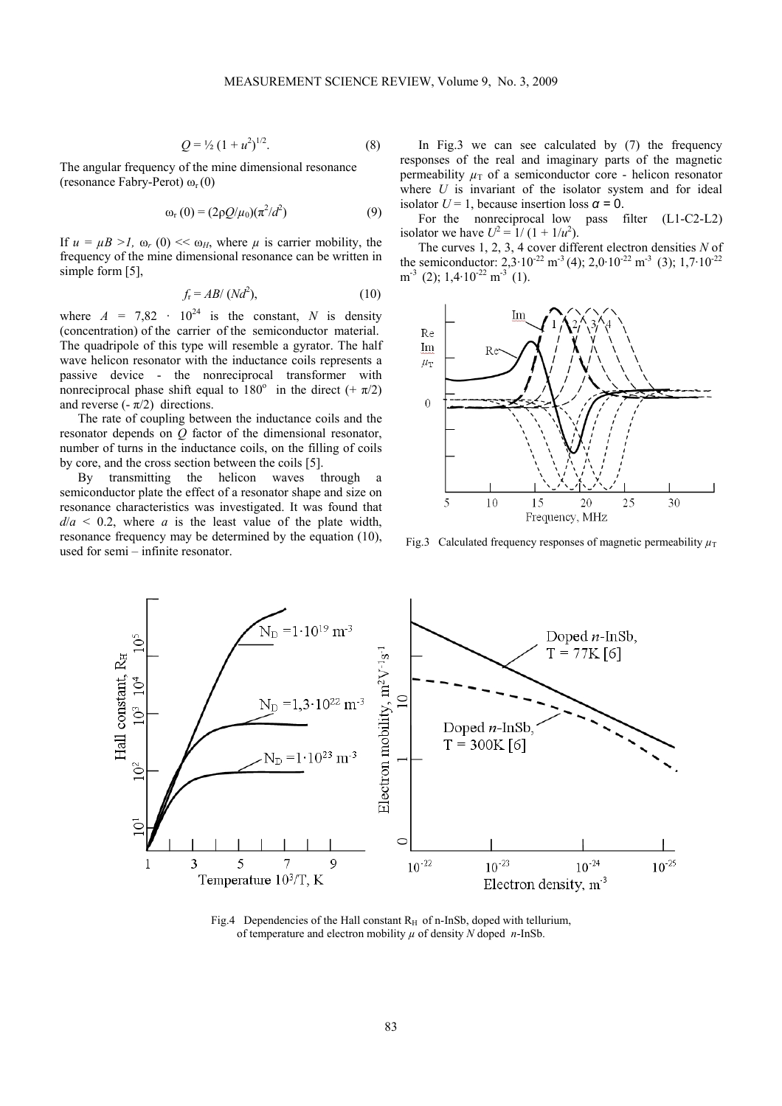$$
Q = \frac{1}{2} \left( 1 + u^2 \right)^{1/2}.
$$
 (8)

The angular frequency of the mine dimensional resonance (resonance Fabry-Perot)  $\omega_r(0)$ 

$$
\omega_{\rm r}(0) = (2\rho Q/\mu_0)(\pi^2/d^2) \tag{9}
$$

If  $u = \mu B > l$ ,  $\omega_r$  (0) <<  $\omega_H$ , where  $\mu$  is carrier mobility, the frequency of the mine dimensional resonance can be written in simple form [5],

$$
f_{\rm r} = AB / (Nd^2),\tag{10}
$$

where  $A = 7.82 \cdot 10^{24}$  is the constant, *N* is density (concentration) of the carrier of the semiconductor material. The quadripole of this type will resemble a gyrator. The half wave helicon resonator with the inductance coils represents a passive device - the nonreciprocal transformer with nonreciprocal phase shift equal to  $180^\circ$  in the direct  $(+\pi/2)$ and reverse  $(-\pi/2)$  directions.

The rate of coupling between the inductance coils and the resonator depends on *Q* factor of the dimensional resonator, number of turns in the inductance coils, on the filling of coils by core, and the cross section between the coils [5].

By transmitting the helicon waves through a semiconductor plate the effect of a resonator shape and size on resonance characteristics was investigated. It was found that  $d/a < 0.2$ , where *a* is the least value of the plate width, resonance frequency may be determined by the equation (10), used for semi – infinite resonator.

In Fig.3 we can see calculated by  $(7)$  the frequency responses of the real and imaginary parts of the magnetic permeability  $\mu_{\text{T}}$  of a semiconductor core - helicon resonator where *U* is invariant of the isolator system and for ideal isolator  $U = 1$ , because insertion loss  $\alpha = 0$ .

For the nonreciprocal low pass filter (L1-C2-L2) isolator we have  $U^2 = 1/(1 + 1/u^2)$ .

The curves 1, 2, 3, 4 cover different electron densities *N* of the semiconductor:  $2.3 \cdot 10^{-22}$  m<sup>-3</sup> (4);  $2.0 \cdot 10^{-22}$  m<sup>-3</sup> (3);  $1.7 \cdot 10^{-22}$  $m^{-3}$  (2); 1,4·10<sup>-22</sup> m<sup>-3</sup> (1).



Fig.3 Calculated frequency responses of magnetic permeability  $\mu_T$ 



Fig.4 Dependencies of the Hall constant  $R_H$  of n-InSb, doped with tellurium, of temperature and electron mobility  $\mu$  of density  $N$  doped  $n$ -InSb.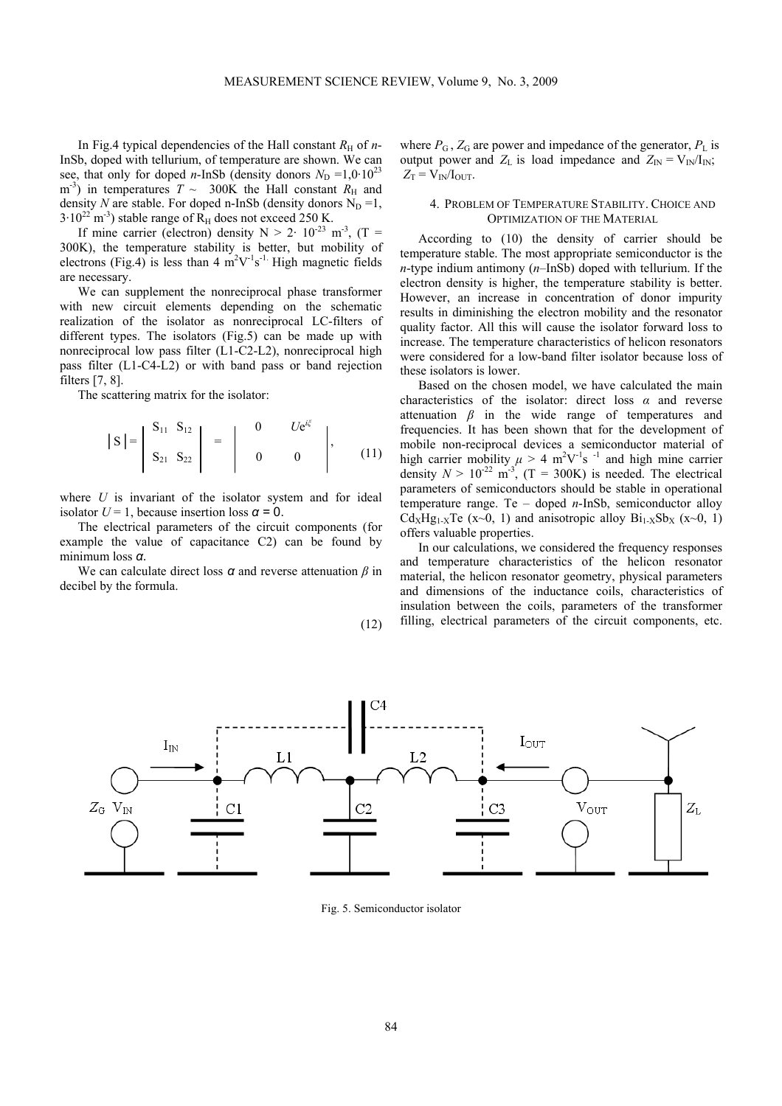In Fig.4 typical dependencies of the Hall constant  $R<sub>H</sub>$  of *n*-InSb, doped with tellurium, of temperature are shown. We can see, that only for doped *n*-InSb (density donors  $N_D = 1.0 \cdot 10^{23}$  $m<sup>3</sup>$ ) in temperatures  $T \sim 300K$  the Hall constant  $R_H$  and density *N* are stable. For doped n-InSb (density donors  $N_D = 1$ ,  $3.10^{22}$  m<sup>-3</sup>) stable range of R<sub>H</sub> does not exceed 250 K.

If mine carrier (electron) density  $N > 2 \cdot 10^{-23}$  m<sup>-3</sup>, (T = 300K), the temperature stability is better, but mobility of electrons (Fig.4) is less than 4  $m^2V^{-1}s^{-1}$ . High magnetic fields are necessary.

We can supplement the nonreciprocal phase transformer with new circuit elements depending on the schematic realization of the isolator as nonreciprocal LC-filters of different types. The isolators (Fig.5) can be made up with nonreciprocal low pass filter (L1-C2-L2), nonreciprocal high pass filter (L1-C4-L2) or with band pass or band rejection filters [7, 8].

The scattering matrix for the isolator:

$$
|S| = \begin{vmatrix} S_{11} & S_{12} \\ S_{21} & S_{22} \end{vmatrix} = \begin{vmatrix} 0 & U e^{i\xi} \\ 0 & 0 \end{vmatrix}, \quad (11)
$$

where *U* is invariant of the isolator system and for ideal isolator  $U = 1$ , because insertion loss  $\alpha = 0$ .

The electrical parameters of the circuit components (for example the value of capacitance C2) can be found by minimum loss *α.*

We can calculate direct loss *α* and reverse attenuation *β* in decibel by the formula.

$$
(12)
$$

where  $P_G$ ,  $Z_G$  are power and impedance of the generator,  $P_L$  is output power and  $Z_L$  is load impedance and  $Z_{\text{IN}} = V_{\text{IN}}/I_{\text{IN}}$ ;  $Z_T = V_{IN}/I_{OUT}$ .

## 4. PROBLEM OF TEMPERATURE STABILITY. CHOICE AND OPTIMIZATION OF THE MATERIAL

According to (10) the density of carrier should be temperature stable. The most appropriate semiconductor is the *n*-type indium antimony (*n*–InSb) doped with tellurium. If the electron density is higher, the temperature stability is better. However, an increase in concentration of donor impurity results in diminishing the electron mobility and the resonator quality factor. All this will cause the isolator forward loss to increase. The temperature characteristics of helicon resonators were considered for a low-band filter isolator because loss of these isolators is lower.

Based on the chosen model, we have calculated the main characteristics of the isolator: direct loss *α* and reverse attenuation  $\beta$  in the wide range of temperatures and frequencies. It has been shown that for the development of mobile non-reciprocal devices a semiconductor material of high carrier mobility  $\mu > 4$  m<sup>2</sup>V<sup>-1</sup>s<sup>-1</sup> and high mine carrier density  $N > 10^{-22}$  m<sup>-3</sup>, (T = 300K) is needed. The electrical parameters of semiconductors should be stable in operational temperature range. Te – doped *n*-InSb, semiconductor alloy  $Cd_XHg_{1-X}Te$  (x~0, 1) and anisotropic alloy  $Bi_{1-X}Sb_X$  (x~0, 1) offers valuable properties.

In our calculations, we considered the frequency responses and temperature characteristics of the helicon resonator material, the helicon resonator geometry, physical parameters and dimensions of the inductance coils, characteristics of insulation between the coils, parameters of the transformer filling, electrical parameters of the circuit components, etc.



Fig. 5. Semiconductor isolator